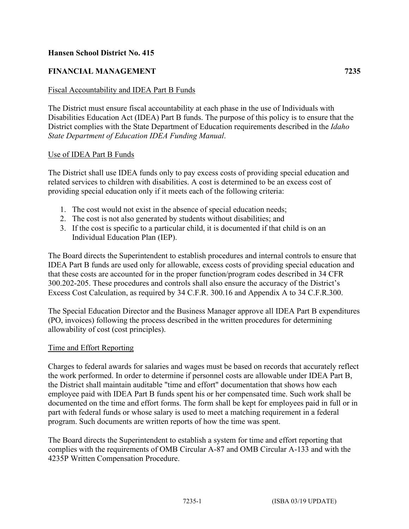# **Hansen School District No. 415**

# **FINANCIAL MANAGEMENT 7235**

### Fiscal Accountability and IDEA Part B Funds

The District must ensure fiscal accountability at each phase in the use of Individuals with Disabilities Education Act (IDEA) Part B funds. The purpose of this policy is to ensure that the District complies with the State Department of Education requirements described in the *Idaho State Department of Education IDEA Funding Manual*.

#### Use of IDEA Part B Funds

The District shall use IDEA funds only to pay excess costs of providing special education and related services to children with disabilities. A cost is determined to be an excess cost of providing special education only if it meets each of the following criteria:

- 1. The cost would not exist in the absence of special education needs;
- 2. The cost is not also generated by students without disabilities; and
- 3. If the cost is specific to a particular child, it is documented if that child is on an Individual Education Plan (IEP).

The Board directs the Superintendent to establish procedures and internal controls to ensure that IDEA Part B funds are used only for allowable, excess costs of providing special education and that these costs are accounted for in the proper function/program codes described in 34 CFR 300.202-205. These procedures and controls shall also ensure the accuracy of the District's Excess Cost Calculation, as required by 34 C.F.R. 300.16 and Appendix A to 34 C.F.R.300.

The Special Education Director and the Business Manager approve all IDEA Part B expenditures (PO, invoices) following the process described in the written procedures for determining allowability of cost (cost principles).

# Time and Effort Reporting

Charges to federal awards for salaries and wages must be based on records that accurately reflect the work performed. In order to determine if personnel costs are allowable under IDEA Part B, the District shall maintain auditable "time and effort" documentation that shows how each employee paid with IDEA Part B funds spent his or her compensated time. Such work shall be documented on the time and effort forms. The form shall be kept for employees paid in full or in part with federal funds or whose salary is used to meet a matching requirement in a federal program. Such documents are written reports of how the time was spent.

The Board directs the Superintendent to establish a system for time and effort reporting that complies with the requirements of OMB Circular A-87 and OMB Circular A-133 and with the 4235P Written Compensation Procedure.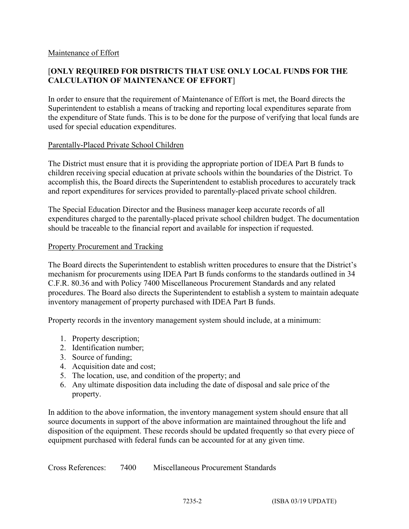#### Maintenance of Effort

# [**ONLY REQUIRED FOR DISTRICTS THAT USE ONLY LOCAL FUNDS FOR THE CALCULATION OF MAINTENANCE OF EFFORT**]

In order to ensure that the requirement of Maintenance of Effort is met, the Board directs the Superintendent to establish a means of tracking and reporting local expenditures separate from the expenditure of State funds. This is to be done for the purpose of verifying that local funds are used for special education expenditures.

### Parentally-Placed Private School Children

The District must ensure that it is providing the appropriate portion of IDEA Part B funds to children receiving special education at private schools within the boundaries of the District. To accomplish this, the Board directs the Superintendent to establish procedures to accurately track and report expenditures for services provided to parentally-placed private school children.

The Special Education Director and the Business manager keep accurate records of all expenditures charged to the parentally-placed private school children budget. The documentation should be traceable to the financial report and available for inspection if requested.

#### Property Procurement and Tracking

The Board directs the Superintendent to establish written procedures to ensure that the District's mechanism for procurements using IDEA Part B funds conforms to the standards outlined in 34 C.F.R. 80.36 and with Policy 7400 Miscellaneous Procurement Standards and any related procedures. The Board also directs the Superintendent to establish a system to maintain adequate inventory management of property purchased with IDEA Part B funds.

Property records in the inventory management system should include, at a minimum:

- 1. Property description;
- 2. Identification number;
- 3. Source of funding;
- 4. Acquisition date and cost;
- 5. The location, use, and condition of the property; and
- 6. Any ultimate disposition data including the date of disposal and sale price of the property.

In addition to the above information, the inventory management system should ensure that all source documents in support of the above information are maintained throughout the life and disposition of the equipment. These records should be updated frequently so that every piece of equipment purchased with federal funds can be accounted for at any given time.